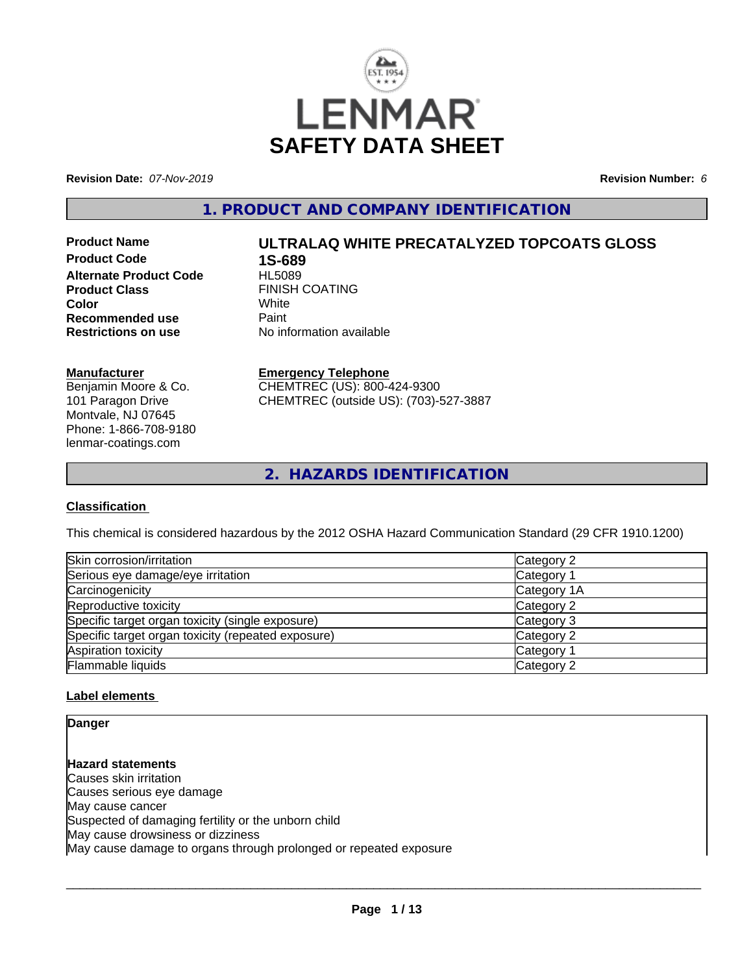

**Revision Date:** *07-Nov-2019* **Revision Number:** *6*

**1. PRODUCT AND COMPANY IDENTIFICATION**

**Product Code 1S-689 Alternate Product Code Product Class** FINISH COATING<br> **Color** White **Color** White White **Recommended use Faint Paint Paint Restrictions on use Fig. 2016** 

# **Product Name ULTRALAQ WHITE PRECATALYZED TOPCOATS GLOSS**

**No information available** 

#### **Manufacturer**

Benjamin Moore & Co. 101 Paragon Drive Montvale, NJ 07645 Phone: 1-866-708-9180 lenmar-coatings.com

## **Emergency Telephone**

CHEMTREC (US): 800-424-9300 CHEMTREC (outside US): (703)-527-3887

**2. HAZARDS IDENTIFICATION**

## **Classification**

This chemical is considered hazardous by the 2012 OSHA Hazard Communication Standard (29 CFR 1910.1200)

| Skin corrosion/irritation                          | Category 2  |
|----------------------------------------------------|-------------|
| Serious eye damage/eye irritation                  | Category 1  |
| Carcinogenicity                                    | Category 1A |
| Reproductive toxicity                              | Category 2  |
| Specific target organ toxicity (single exposure)   | Category 3  |
| Specific target organ toxicity (repeated exposure) | Category 2  |
| Aspiration toxicity                                | Category 1  |
| Flammable liquids                                  | Category 2  |

## **Label elements**

**Danger**

**Hazard statements** Causes skin irritation Causes serious eye damage May cause cancer Suspected of damaging fertility or the unborn child May cause drowsiness or dizziness May cause damage to organs through prolonged or repeated exposure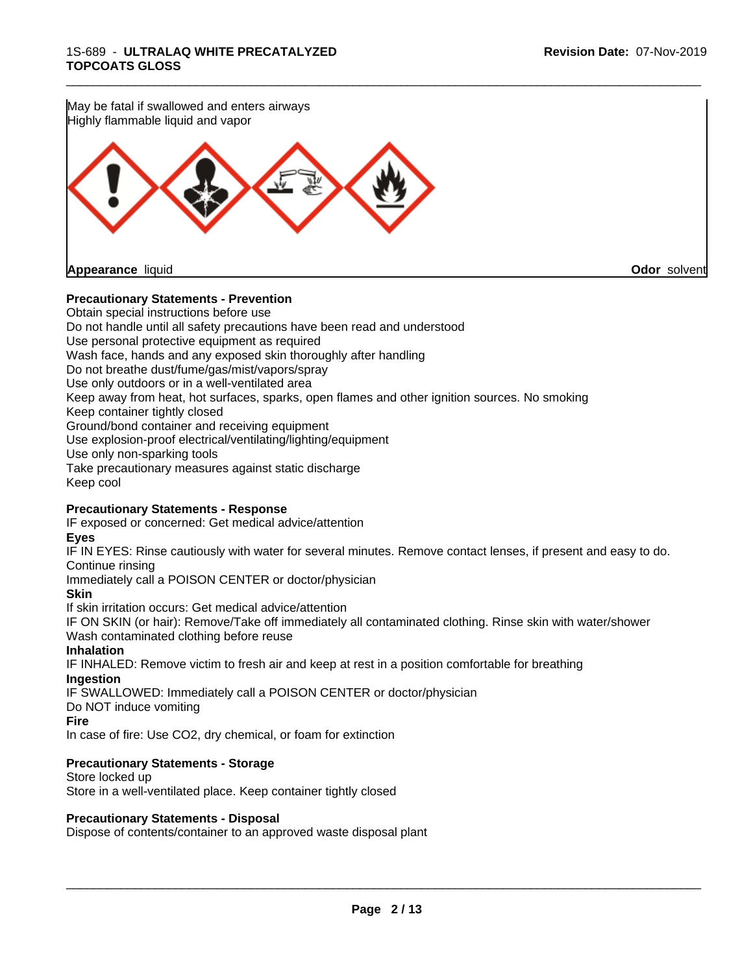

#### **Precautionary Statements - Prevention**

Obtain special instructions before use Do not handle until all safety precautions have been read and understood Use personal protective equipment as required Wash face, hands and any exposed skin thoroughly after handling Do not breathe dust/fume/gas/mist/vapors/spray Use only outdoors or in a well-ventilated area Keep away from heat, hot surfaces, sparks, open flames and other ignition sources. No smoking Keep container tightly closed Ground/bond container and receiving equipment Use explosion-proof electrical/ventilating/lighting/equipment Use only non-sparking tools Take precautionary measures against static discharge Keep cool

#### **Precautionary Statements - Response**

IF exposed or concerned: Get medical advice/attention

#### **Eyes**

IF IN EYES: Rinse cautiously with water for several minutes. Remove contact lenses, if present and easy to do. Continue rinsing

Immediately call a POISON CENTER or doctor/physician

#### **Skin**

If skin irritation occurs: Get medical advice/attention

IF ON SKIN (or hair): Remove/Take off immediately all contaminated clothing. Rinse skin with water/shower Wash contaminated clothing before reuse

## **Inhalation**

IF INHALED: Remove victim to fresh air and keep at rest in a position comfortable for breathing **Ingestion**

IF SWALLOWED: Immediately call a POISON CENTER or doctor/physician

Do NOT induce vomiting

#### **Fire**

In case of fire: Use CO2, dry chemical, or foam for extinction

## **Precautionary Statements - Storage**

Store locked up Store in a well-ventilated place. Keep container tightly closed

## **Precautionary Statements - Disposal**

Dispose of contents/container to an approved waste disposal plant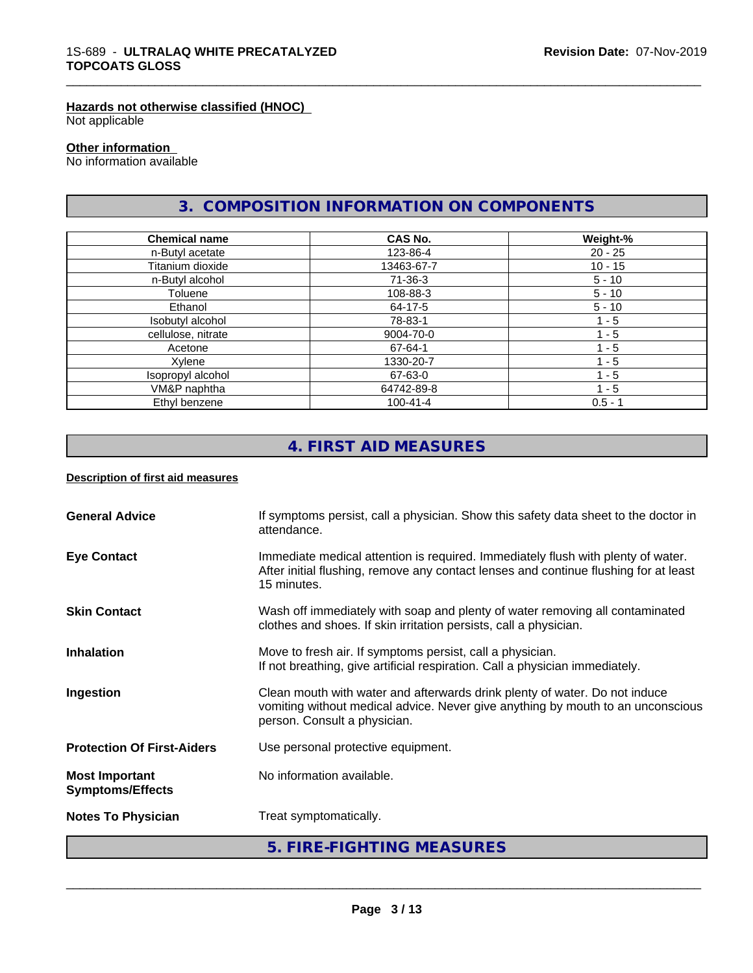#### **Hazards not otherwise classified (HNOC)**

Not applicable

#### **Other information**

No information available

# **3. COMPOSITION INFORMATION ON COMPONENTS**

\_\_\_\_\_\_\_\_\_\_\_\_\_\_\_\_\_\_\_\_\_\_\_\_\_\_\_\_\_\_\_\_\_\_\_\_\_\_\_\_\_\_\_\_\_\_\_\_\_\_\_\_\_\_\_\_\_\_\_\_\_\_\_\_\_\_\_\_\_\_\_\_\_\_\_\_\_\_\_\_\_\_\_\_\_\_\_\_\_\_\_\_\_

| <b>Chemical name</b> | CAS No.        | Weight-%  |  |
|----------------------|----------------|-----------|--|
| n-Butyl acetate      | 123-86-4       | $20 - 25$ |  |
| Titanium dioxide     | 13463-67-7     | $10 - 15$ |  |
| n-Butyl alcohol      | 71-36-3        | $5 - 10$  |  |
| Toluene              | 108-88-3       | $5 - 10$  |  |
| Ethanol              | 64-17-5        | $5 - 10$  |  |
| Isobutyl alcohol     | 78-83-1        | $1 - 5$   |  |
| cellulose, nitrate   | 9004-70-0      | $-5$      |  |
| Acetone              | 67-64-1        | - 5       |  |
| Xylene               | 1330-20-7      | $-5$      |  |
| Isopropyl alcohol    | 67-63-0        | $1 - 5$   |  |
| VM&P naphtha         | 64742-89-8     | $1 - 5$   |  |
| Ethyl benzene        | $100 - 41 - 4$ | $0.5 - 1$ |  |

# **4. FIRST AID MEASURES**

#### **Description of first aid measures**

|                                                  | 5. FIRE-FIGHTING MEASURES                                                                                                                                                                     |
|--------------------------------------------------|-----------------------------------------------------------------------------------------------------------------------------------------------------------------------------------------------|
| <b>Notes To Physician</b>                        | Treat symptomatically.                                                                                                                                                                        |
| <b>Most Important</b><br><b>Symptoms/Effects</b> | No information available.                                                                                                                                                                     |
| <b>Protection Of First-Aiders</b>                | Use personal protective equipment.                                                                                                                                                            |
| Ingestion                                        | Clean mouth with water and afterwards drink plenty of water. Do not induce<br>vomiting without medical advice. Never give anything by mouth to an unconscious<br>person. Consult a physician. |
| <b>Inhalation</b>                                | Move to fresh air. If symptoms persist, call a physician.<br>If not breathing, give artificial respiration. Call a physician immediately.                                                     |
| <b>Skin Contact</b>                              | Wash off immediately with soap and plenty of water removing all contaminated<br>clothes and shoes. If skin irritation persists, call a physician.                                             |
| <b>Eye Contact</b>                               | Immediate medical attention is required. Immediately flush with plenty of water.<br>After initial flushing, remove any contact lenses and continue flushing for at least<br>15 minutes.       |
| <b>General Advice</b>                            | If symptoms persist, call a physician. Show this safety data sheet to the doctor in<br>attendance.                                                                                            |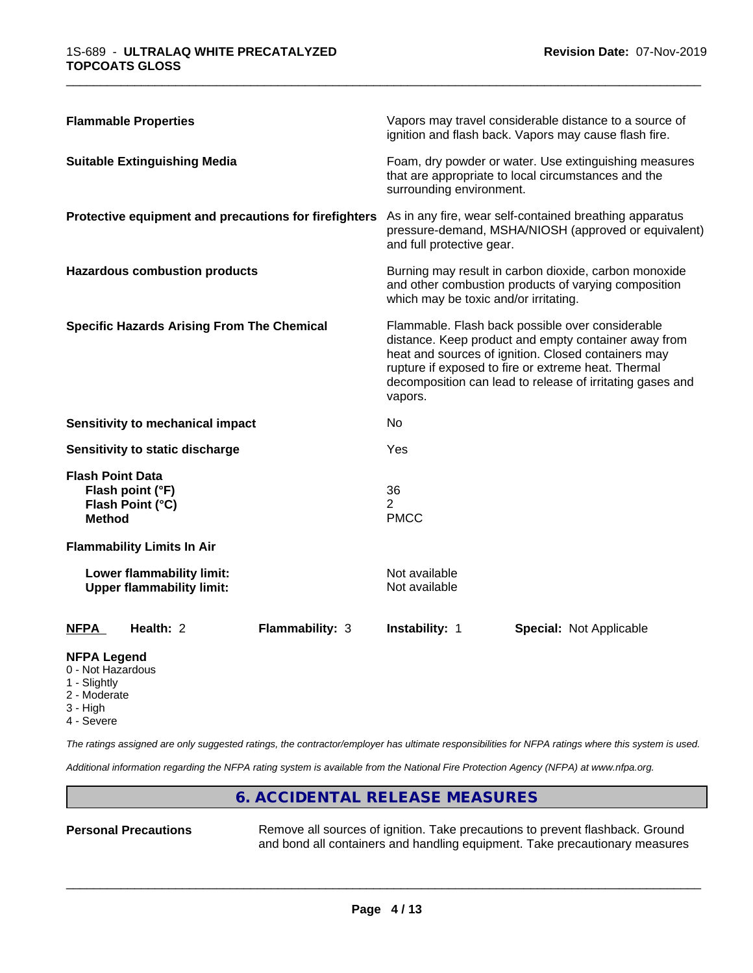| <b>Flammable Properties</b>                                                      | Vapors may travel considerable distance to a source of<br>ignition and flash back. Vapors may cause flash fire.                                                                                                                                                                                |  |  |
|----------------------------------------------------------------------------------|------------------------------------------------------------------------------------------------------------------------------------------------------------------------------------------------------------------------------------------------------------------------------------------------|--|--|
| <b>Suitable Extinguishing Media</b>                                              | Foam, dry powder or water. Use extinguishing measures<br>that are appropriate to local circumstances and the<br>surrounding environment.                                                                                                                                                       |  |  |
| Protective equipment and precautions for firefighters                            | As in any fire, wear self-contained breathing apparatus<br>pressure-demand, MSHA/NIOSH (approved or equivalent)<br>and full protective gear.                                                                                                                                                   |  |  |
| <b>Hazardous combustion products</b>                                             | Burning may result in carbon dioxide, carbon monoxide<br>and other combustion products of varying composition<br>which may be toxic and/or irritating.                                                                                                                                         |  |  |
| <b>Specific Hazards Arising From The Chemical</b>                                | Flammable. Flash back possible over considerable<br>distance. Keep product and empty container away from<br>heat and sources of ignition. Closed containers may<br>rupture if exposed to fire or extreme heat. Thermal<br>decomposition can lead to release of irritating gases and<br>vapors. |  |  |
| <b>Sensitivity to mechanical impact</b>                                          | No                                                                                                                                                                                                                                                                                             |  |  |
| Sensitivity to static discharge                                                  | Yes                                                                                                                                                                                                                                                                                            |  |  |
| <b>Flash Point Data</b><br>Flash point (°F)<br>Flash Point (°C)<br><b>Method</b> | 36<br>$\overline{2}$<br><b>PMCC</b>                                                                                                                                                                                                                                                            |  |  |
| <b>Flammability Limits In Air</b>                                                |                                                                                                                                                                                                                                                                                                |  |  |
| Lower flammability limit:<br><b>Upper flammability limit:</b>                    | Not available<br>Not available                                                                                                                                                                                                                                                                 |  |  |
| Health: 2<br>Flammability: 3<br><b>NFPA</b>                                      | <b>Instability: 1</b><br><b>Special: Not Applicable</b>                                                                                                                                                                                                                                        |  |  |

#### **NFPA Legend**

- 0 Not Hazardous
- 1 Slightly
- 2 Moderate
- 3 High
- 4 Severe

*The ratings assigned are only suggested ratings, the contractor/employer has ultimate responsibilities for NFPA ratings where this system is used.*

*Additional information regarding the NFPA rating system is available from the National Fire Protection Agency (NFPA) at www.nfpa.org.*

## **6. ACCIDENTAL RELEASE MEASURES**

**Personal Precautions** Remove all sources of ignition. Take precautions to prevent flashback. Ground and bond all containers and handling equipment. Take precautionary measures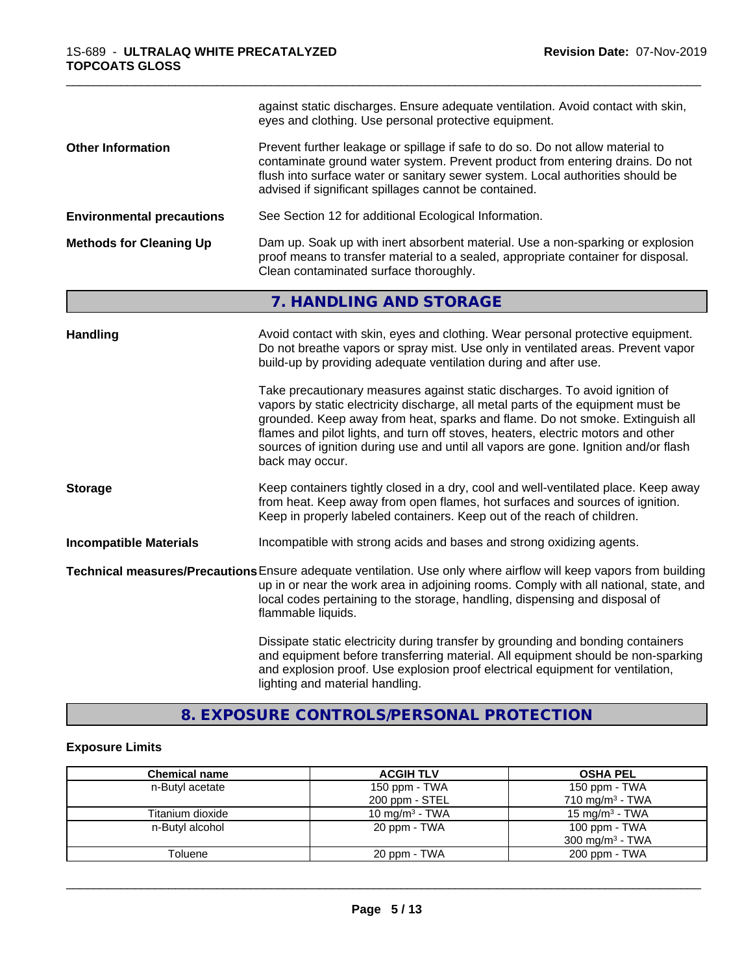|                                  | against static discharges. Ensure adequate ventilation. Avoid contact with skin,<br>eyes and clothing. Use personal protective equipment.                                                                                                                                                                                                                                                                                                      |  |  |
|----------------------------------|------------------------------------------------------------------------------------------------------------------------------------------------------------------------------------------------------------------------------------------------------------------------------------------------------------------------------------------------------------------------------------------------------------------------------------------------|--|--|
| <b>Other Information</b>         | Prevent further leakage or spillage if safe to do so. Do not allow material to<br>contaminate ground water system. Prevent product from entering drains. Do not<br>flush into surface water or sanitary sewer system. Local authorities should be<br>advised if significant spillages cannot be contained.                                                                                                                                     |  |  |
| <b>Environmental precautions</b> | See Section 12 for additional Ecological Information.                                                                                                                                                                                                                                                                                                                                                                                          |  |  |
| <b>Methods for Cleaning Up</b>   | Dam up. Soak up with inert absorbent material. Use a non-sparking or explosion<br>proof means to transfer material to a sealed, appropriate container for disposal.<br>Clean contaminated surface thoroughly.                                                                                                                                                                                                                                  |  |  |
|                                  | 7. HANDLING AND STORAGE                                                                                                                                                                                                                                                                                                                                                                                                                        |  |  |
| <b>Handling</b>                  | Avoid contact with skin, eyes and clothing. Wear personal protective equipment.<br>Do not breathe vapors or spray mist. Use only in ventilated areas. Prevent vapor<br>build-up by providing adequate ventilation during and after use.                                                                                                                                                                                                        |  |  |
|                                  | Take precautionary measures against static discharges. To avoid ignition of<br>vapors by static electricity discharge, all metal parts of the equipment must be<br>grounded. Keep away from heat, sparks and flame. Do not smoke. Extinguish all<br>flames and pilot lights, and turn off stoves, heaters, electric motors and other<br>sources of ignition during use and until all vapors are gone. Ignition and/or flash<br>back may occur. |  |  |
| <b>Storage</b>                   | Keep containers tightly closed in a dry, cool and well-ventilated place. Keep away<br>from heat. Keep away from open flames, hot surfaces and sources of ignition.<br>Keep in properly labeled containers. Keep out of the reach of children.                                                                                                                                                                                                  |  |  |
| <b>Incompatible Materials</b>    | Incompatible with strong acids and bases and strong oxidizing agents.                                                                                                                                                                                                                                                                                                                                                                          |  |  |
|                                  | Technical measures/Precautions Ensure adequate ventilation. Use only where airflow will keep vapors from building<br>up in or near the work area in adjoining rooms. Comply with all national, state, and<br>local codes pertaining to the storage, handling, dispensing and disposal of<br>flammable liquids.                                                                                                                                 |  |  |

Dissipate static electricity during transfer by grounding and bonding containers and equipment before transferring material. All equipment should be non-sparking and explosion proof. Use explosion proof electrical equipment for ventilation, lighting and material handling.

## **8. EXPOSURE CONTROLS/PERSONAL PROTECTION**

## **Exposure Limits**

| <b>Chemical name</b> | <b>ACGIH TLV</b>  | <b>OSHA PEL</b>            |
|----------------------|-------------------|----------------------------|
| n-Butyl acetate      | 150 ppm - TWA     | 150 ppm - TWA              |
|                      | 200 ppm - STEL    | $710 \text{ mg/m}^3$ - TWA |
| Titanium dioxide     | 10 mg/m $3$ - TWA | 15 mg/m $3$ - TWA          |
| n-Butyl alcohol      | 20 ppm - TWA      | 100 ppm - TWA              |
|                      |                   | $300 \text{ mg/m}^3$ - TWA |
| Toluene              | 20 ppm - TWA      | 200 ppm - TWA              |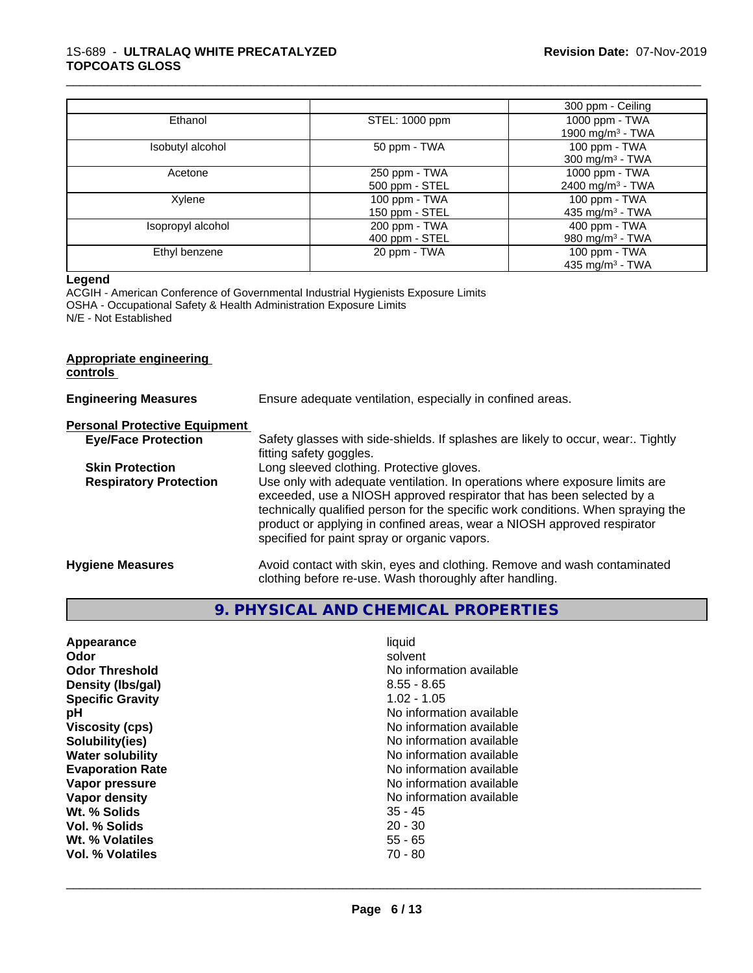|                   |                | 300 ppm - Ceiling            |
|-------------------|----------------|------------------------------|
| Ethanol           | STEL: 1000 ppm | 1000 ppm - TWA               |
|                   |                | 1900 mg/m $3 - TWA$          |
| Isobutyl alcohol  | 50 ppm - TWA   | 100 ppm - TWA                |
|                   |                | 300 mg/m <sup>3</sup> - TWA  |
| Acetone           | 250 ppm - TWA  | 1000 ppm - TWA               |
|                   | 500 ppm - STEL | 2400 mg/m <sup>3</sup> - TWA |
| Xylene            | 100 ppm - TWA  | 100 ppm - TWA                |
|                   | 150 ppm - STEL | 435 mg/m <sup>3</sup> - TWA  |
| Isopropyl alcohol | 200 ppm - TWA  | 400 ppm - TWA                |
|                   | 400 ppm - STEL | 980 mg/m $3$ - TWA           |
| Ethyl benzene     | 20 ppm - TWA   | 100 ppm - TWA                |
|                   |                | 435 mg/m $3$ - TWA           |

#### **Legend**

ACGIH - American Conference of Governmental Industrial Hygienists Exposure Limits OSHA - Occupational Safety & Health Administration Exposure Limits N/E - Not Established

#### **Appropriate engineering controls**

| <b>Engineering Measures</b>          | Ensure adequate ventilation, especially in confined areas.                                                                                                                                                                                                                                                                                                          |  |  |
|--------------------------------------|---------------------------------------------------------------------------------------------------------------------------------------------------------------------------------------------------------------------------------------------------------------------------------------------------------------------------------------------------------------------|--|--|
| <b>Personal Protective Equipment</b> |                                                                                                                                                                                                                                                                                                                                                                     |  |  |
| <b>Eye/Face Protection</b>           | Safety glasses with side-shields. If splashes are likely to occur, wear:. Tightly<br>fitting safety goggles.                                                                                                                                                                                                                                                        |  |  |
| <b>Skin Protection</b>               | Long sleeved clothing. Protective gloves.                                                                                                                                                                                                                                                                                                                           |  |  |
| <b>Respiratory Protection</b>        | Use only with adequate ventilation. In operations where exposure limits are<br>exceeded, use a NIOSH approved respirator that has been selected by a<br>technically qualified person for the specific work conditions. When spraying the<br>product or applying in confined areas, wear a NIOSH approved respirator<br>specified for paint spray or organic vapors. |  |  |
| <b>Hygiene Measures</b>              | Avoid contact with skin, eyes and clothing. Remove and wash contaminated<br>clothing before re-use. Wash thoroughly after handling.                                                                                                                                                                                                                                 |  |  |

# **9. PHYSICAL AND CHEMICAL PROPERTIES**

| Appearance              | liquid                   |
|-------------------------|--------------------------|
| Odor                    | solvent                  |
| <b>Odor Threshold</b>   | No information available |
| Density (Ibs/gal)       | $8.55 - 8.65$            |
| <b>Specific Gravity</b> | $1.02 - 1.05$            |
| рH                      | No information available |
| <b>Viscosity (cps)</b>  | No information available |
| Solubility(ies)         | No information available |
| <b>Water solubility</b> | No information available |
| <b>Evaporation Rate</b> | No information available |
| Vapor pressure          | No information available |
| Vapor density           | No information available |
| Wt. % Solids            | $35 - 45$                |
| Vol. % Solids           | $20 - 30$                |
| Wt. % Volatiles         | $55 - 65$                |
| Vol. % Volatiles        | 70 - 80                  |
|                         |                          |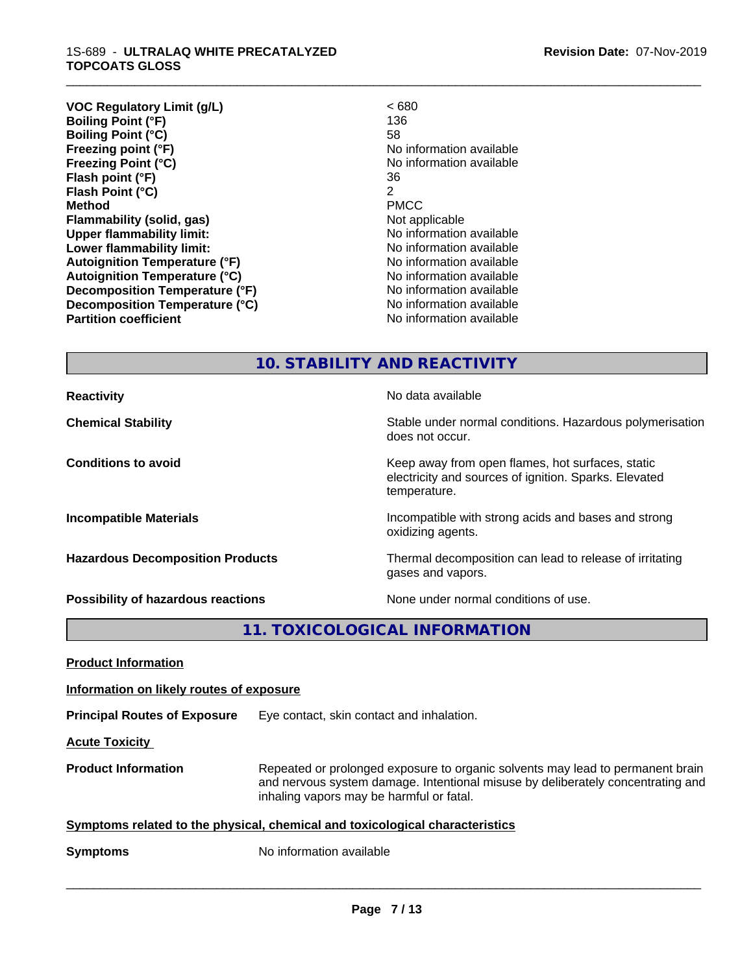**VOC Regulatory Limit (g/L)** < 680 **Boiling Point (°F)** 136 **Boiling Point (°C)** 58 **Freezing point (°F)** No information available **Freezing Point (°C)** The Control of the Monometer of Noinformation available **Flash point (°F)** 36 **Flash Point (°C)** 2 **Method** PMCC **Flammability (solid, gas)** Not applicable **Upper flammability limit:** No information available **Lower flammability limit:**  $\qquad \qquad \qquad$  No information available **Autoignition Temperature (°F)** No information available **Autoignition Temperature (°C)**<br> **Decomposition Temperature (°F)** No information available **Decomposition Temperature (°F) Decomposition Temperature (°C)** No information available **Partition coefficient Contract Contract Contract Contract Contract Contract Contract Contract Contract Contract Contract Contract Contract Contract Contract Contract Contract Contract Contract Contract Contract Contract** 

\_\_\_\_\_\_\_\_\_\_\_\_\_\_\_\_\_\_\_\_\_\_\_\_\_\_\_\_\_\_\_\_\_\_\_\_\_\_\_\_\_\_\_\_\_\_\_\_\_\_\_\_\_\_\_\_\_\_\_\_\_\_\_\_\_\_\_\_\_\_\_\_\_\_\_\_\_\_\_\_\_\_\_\_\_\_\_\_\_\_\_\_\_

## **10. STABILITY AND REACTIVITY**

does not occur.

temperature.

oxidizing agents.

gases and vapors.

electricity and sources of ignition. Sparks. Elevated

**Reactivity No data available No data available Chemical Stability Stability** Stable under normal conditions. Hazardous polymerisation

**Conditions to avoid Keep away from open flames, hot surfaces, static conditions to avoid** 

**Incompatible Materials Incompatible with strong acids and bases and strong** 

**Hazardous Decomposition Products** Thermal decomposition can lead to release of irritating

**Possibility of hazardous reactions** None under normal conditions of use.

**11. TOXICOLOGICAL INFORMATION**

**Product Information**

**Information on likely routes of exposure**

**Principal Routes of Exposure** Eye contact, skin contact and inhalation.

**Acute Toxicity** 

**Product Information** Repeated or prolonged exposure to organic solvents may lead to permanent brain and nervous system damage. Intentional misuse by deliberately concentrating and inhaling vapors may be harmful or fatal.

 $\overline{\phantom{a}}$  ,  $\overline{\phantom{a}}$  ,  $\overline{\phantom{a}}$  ,  $\overline{\phantom{a}}$  ,  $\overline{\phantom{a}}$  ,  $\overline{\phantom{a}}$  ,  $\overline{\phantom{a}}$  ,  $\overline{\phantom{a}}$  ,  $\overline{\phantom{a}}$  ,  $\overline{\phantom{a}}$  ,  $\overline{\phantom{a}}$  ,  $\overline{\phantom{a}}$  ,  $\overline{\phantom{a}}$  ,  $\overline{\phantom{a}}$  ,  $\overline{\phantom{a}}$  ,  $\overline{\phantom{a}}$ 

**Symptoms related to the physical,chemical and toxicological characteristics**

**Symptoms** No information available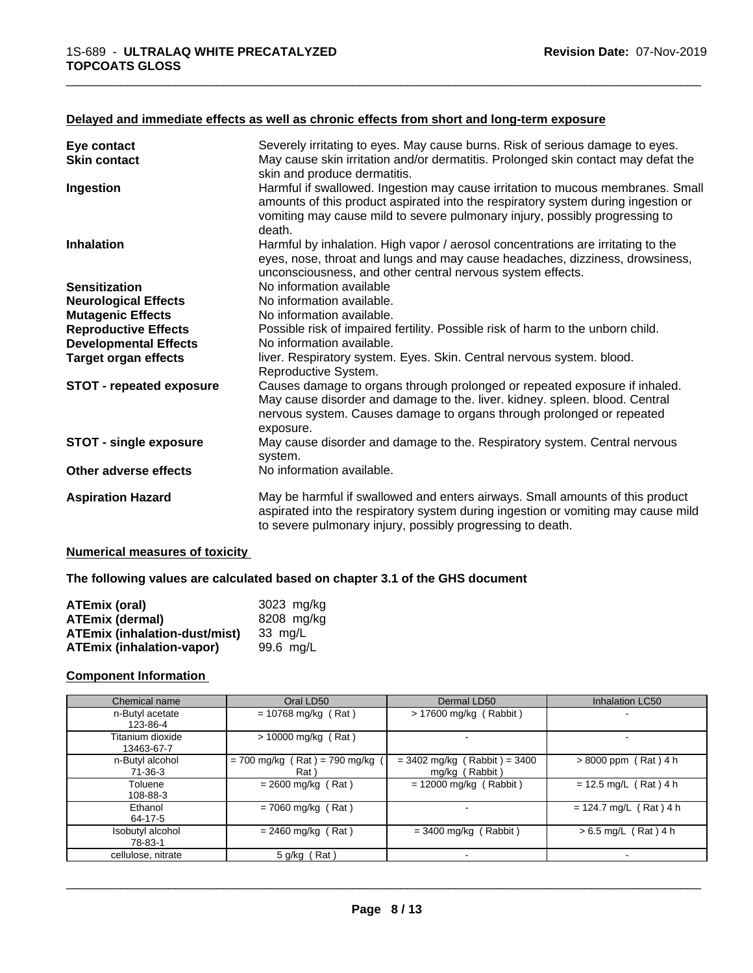## **Delayed and immediate effects as well as chronic effects from short and long-term exposure**

| Eye contact                     | Severely irritating to eyes. May cause burns. Risk of serious damage to eyes.                                                                                                                                                                                 |
|---------------------------------|---------------------------------------------------------------------------------------------------------------------------------------------------------------------------------------------------------------------------------------------------------------|
| <b>Skin contact</b>             | May cause skin irritation and/or dermatitis. Prolonged skin contact may defat the<br>skin and produce dermatitis.                                                                                                                                             |
| Ingestion                       | Harmful if swallowed. Ingestion may cause irritation to mucous membranes. Small<br>amounts of this product aspirated into the respiratory system during ingestion or<br>vomiting may cause mild to severe pulmonary injury, possibly progressing to<br>death. |
| <b>Inhalation</b>               | Harmful by inhalation. High vapor / aerosol concentrations are irritating to the<br>eyes, nose, throat and lungs and may cause headaches, dizziness, drowsiness,<br>unconsciousness, and other central nervous system effects.                                |
| <b>Sensitization</b>            | No information available                                                                                                                                                                                                                                      |
| <b>Neurological Effects</b>     | No information available.                                                                                                                                                                                                                                     |
| <b>Mutagenic Effects</b>        | No information available.                                                                                                                                                                                                                                     |
| <b>Reproductive Effects</b>     | Possible risk of impaired fertility. Possible risk of harm to the unborn child.                                                                                                                                                                               |
| <b>Developmental Effects</b>    | No information available.                                                                                                                                                                                                                                     |
| <b>Target organ effects</b>     | liver. Respiratory system. Eyes. Skin. Central nervous system. blood.<br>Reproductive System.                                                                                                                                                                 |
| <b>STOT - repeated exposure</b> | Causes damage to organs through prolonged or repeated exposure if inhaled.<br>May cause disorder and damage to the. liver. kidney. spleen. blood. Central<br>nervous system. Causes damage to organs through prolonged or repeated<br>exposure.               |
| STOT - single exposure          | May cause disorder and damage to the. Respiratory system. Central nervous<br>system.                                                                                                                                                                          |
| Other adverse effects           | No information available.                                                                                                                                                                                                                                     |
| <b>Aspiration Hazard</b>        | May be harmful if swallowed and enters airways. Small amounts of this product<br>aspirated into the respiratory system during ingestion or vomiting may cause mild<br>to severe pulmonary injury, possibly progressing to death.                              |

\_\_\_\_\_\_\_\_\_\_\_\_\_\_\_\_\_\_\_\_\_\_\_\_\_\_\_\_\_\_\_\_\_\_\_\_\_\_\_\_\_\_\_\_\_\_\_\_\_\_\_\_\_\_\_\_\_\_\_\_\_\_\_\_\_\_\_\_\_\_\_\_\_\_\_\_\_\_\_\_\_\_\_\_\_\_\_\_\_\_\_\_\_

#### **Numerical measures of toxicity**

#### **The following values are calculated based on chapter 3.1 of the GHS document**

| <b>ATEmix (oral)</b>                 | 3023 mg/kg |
|--------------------------------------|------------|
| <b>ATEmix (dermal)</b>               | 8208 mg/kg |
| <b>ATEmix (inhalation-dust/mist)</b> | 33 ma/L    |
| <b>ATEmix (inhalation-vapor)</b>     | 99.6 ma/L  |

#### **Component Information**

| Chemical name                  | Oral LD50                               | Dermal LD50                                      | Inhalation LC50          |
|--------------------------------|-----------------------------------------|--------------------------------------------------|--------------------------|
| n-Butyl acetate<br>123-86-4    | $= 10768$ mg/kg (Rat)                   | $> 17600$ mg/kg (Rabbit)                         | $\sim$                   |
| Titanium dioxide<br>13463-67-7 | $> 10000$ mg/kg (Rat)                   |                                                  | ۰.                       |
| n-Butyl alcohol<br>71-36-3     | $= 700$ mg/kg (Rat) = 790 mg/kg<br>Rat) | $= 3402$ mg/kg (Rabbit) = 3400<br>mg/kg (Rabbit) | $> 8000$ ppm (Rat) 4 h   |
| Toluene<br>108-88-3            | $= 2600$ mg/kg (Rat)                    | $= 12000$ mg/kg (Rabbit)                         | $= 12.5$ mg/L (Rat) 4 h  |
| Ethanol<br>64-17-5             | $= 7060$ mg/kg (Rat)                    | $\overline{\phantom{0}}$                         | $= 124.7$ mg/L (Rat) 4 h |
| Isobutyl alcohol<br>78-83-1    | $= 2460$ mg/kg (Rat)                    | $=$ 3400 mg/kg (Rabbit)                          | $> 6.5$ mg/L (Rat) 4 h   |
| cellulose, nitrate             | 5 g/kg (Rat)                            |                                                  | -                        |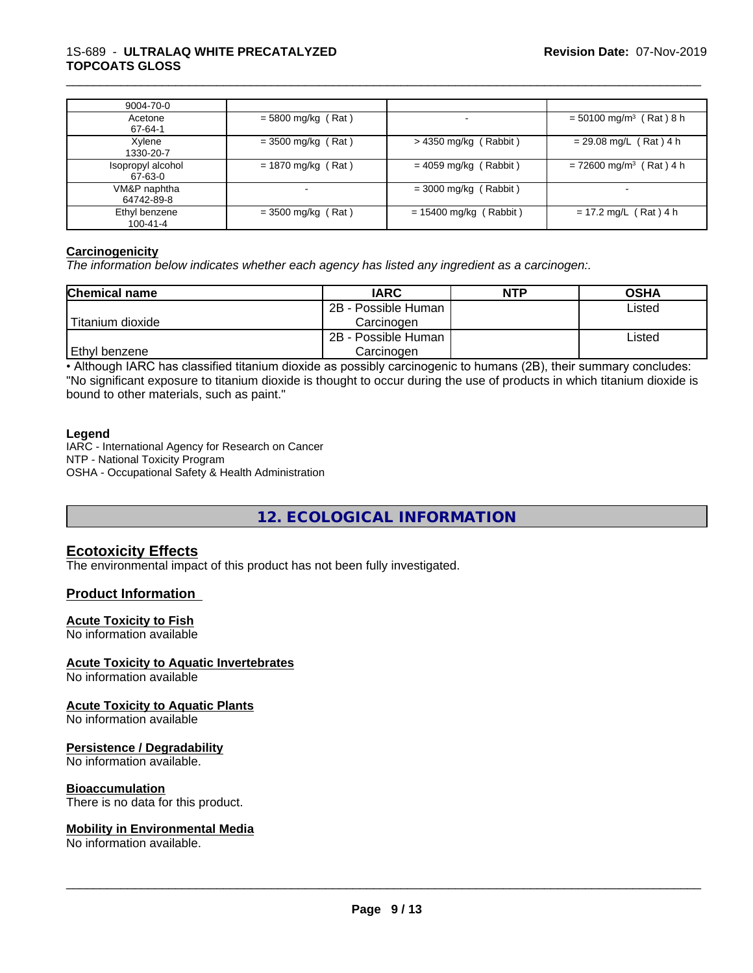#### 1S-689 - **ULTRALAQ WHITE PRECATALYZED TOPCOATS GLOSS**

| 9004-70-0                    |                      |                          |                                       |
|------------------------------|----------------------|--------------------------|---------------------------------------|
| Acetone<br>67-64-1           | $= 5800$ mg/kg (Rat) |                          | $= 50100$ mg/m <sup>3</sup> (Rat) 8 h |
| Xylene<br>1330-20-7          | $=$ 3500 mg/kg (Rat) | $>$ 4350 mg/kg (Rabbit)  | $= 29.08$ mg/L (Rat) 4 h              |
| Isopropyl alcohol<br>67-63-0 | $= 1870$ mg/kg (Rat) | $= 4059$ mg/kg (Rabbit)  | $= 72600$ mg/m <sup>3</sup> (Rat) 4 h |
| VM&P naphtha<br>64742-89-8   |                      | $=$ 3000 mg/kg (Rabbit)  | $\overline{\phantom{a}}$              |
| Ethyl benzene<br>100-41-4    | $=$ 3500 mg/kg (Rat) | $= 15400$ mg/kg (Rabbit) | $= 17.2$ mg/L (Rat) 4 h               |

\_\_\_\_\_\_\_\_\_\_\_\_\_\_\_\_\_\_\_\_\_\_\_\_\_\_\_\_\_\_\_\_\_\_\_\_\_\_\_\_\_\_\_\_\_\_\_\_\_\_\_\_\_\_\_\_\_\_\_\_\_\_\_\_\_\_\_\_\_\_\_\_\_\_\_\_\_\_\_\_\_\_\_\_\_\_\_\_\_\_\_\_\_

#### **Carcinogenicity**

*The information below indicateswhether each agency has listed any ingredient as a carcinogen:.*

| <b>Chemical name</b> | <b>IARC</b>         | <b>NTP</b> | <b>OSHA</b> |
|----------------------|---------------------|------------|-------------|
|                      | 2B - Possible Human |            | Listed      |
| Titanium dioxide     | Carcinogen          |            |             |
|                      | 2B - Possible Human |            | Listed      |
| Ethyl benzene        | Carcinoɑen          |            |             |

• Although IARC has classified titanium dioxide as possibly carcinogenic to humans (2B), their summary concludes: "No significant exposure to titanium dioxide is thought to occur during the use of products in which titanium dioxide is bound to other materials, such as paint."

#### **Legend**

IARC - International Agency for Research on Cancer NTP - National Toxicity Program OSHA - Occupational Safety & Health Administration

# **12. ECOLOGICAL INFORMATION**

## **Ecotoxicity Effects**

The environmental impact of this product has not been fully investigated.

## **Product Information**

#### **Acute Toxicity to Fish**

No information available

## **Acute Toxicity to Aquatic Invertebrates**

No information available

#### **Acute Toxicity to Aquatic Plants**

No information available

#### **Persistence / Degradability**

No information available.

#### **Bioaccumulation**

There is no data for this product.

#### **Mobility in Environmental Media**

No information available.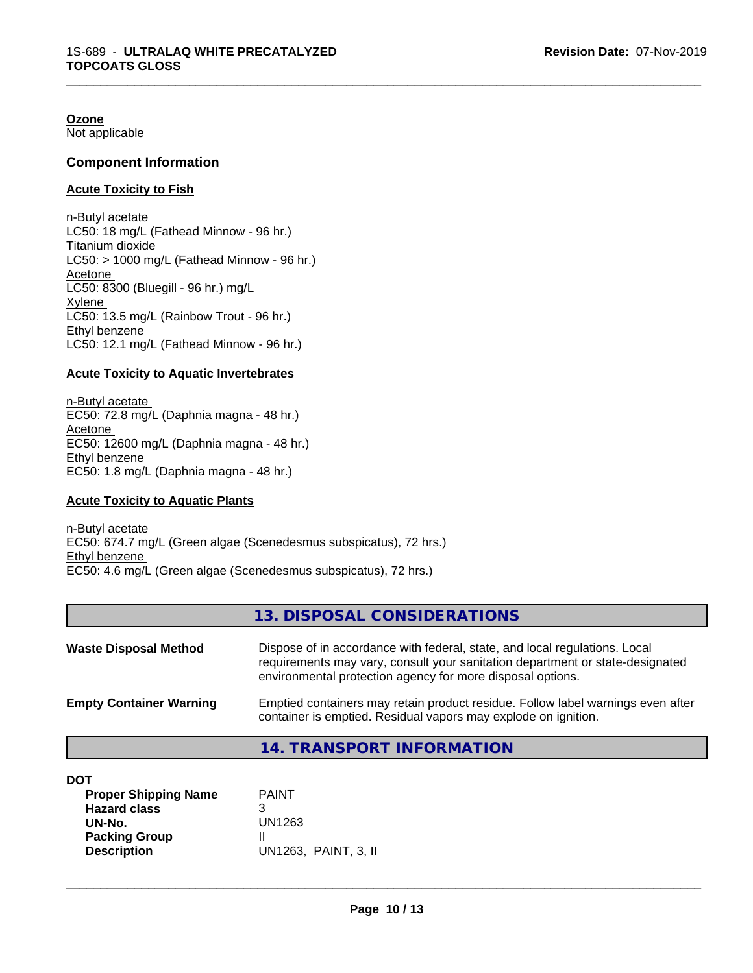**Ozone** Not applicable

**Component Information**

## **Acute Toxicity to Fish**

n-Butyl acetate LC50: 18 mg/L (Fathead Minnow - 96 hr.) Titanium dioxide  $LC50:$  > 1000 mg/L (Fathead Minnow - 96 hr.) Acetone LC50: 8300 (Bluegill - 96 hr.) mg/L Xylene LC50: 13.5 mg/L (Rainbow Trout - 96 hr.) Ethyl benzene LC50: 12.1 mg/L (Fathead Minnow - 96 hr.)

#### **Acute Toxicity to Aquatic Invertebrates**

n-Butyl acetate EC50: 72.8 mg/L (Daphnia magna - 48 hr.) Acetone EC50: 12600 mg/L (Daphnia magna - 48 hr.) Ethyl benzene EC50: 1.8 mg/L (Daphnia magna - 48 hr.)

#### **Acute Toxicity to Aquatic Plants**

n-Butyl acetate EC50: 674.7 mg/L (Green algae (Scenedesmus subspicatus), 72 hrs.) Ethyl benzene EC50: 4.6 mg/L (Green algae (Scenedesmus subspicatus), 72 hrs.)

## **13. DISPOSAL CONSIDERATIONS**

\_\_\_\_\_\_\_\_\_\_\_\_\_\_\_\_\_\_\_\_\_\_\_\_\_\_\_\_\_\_\_\_\_\_\_\_\_\_\_\_\_\_\_\_\_\_\_\_\_\_\_\_\_\_\_\_\_\_\_\_\_\_\_\_\_\_\_\_\_\_\_\_\_\_\_\_\_\_\_\_\_\_\_\_\_\_\_\_\_\_\_\_\_

| <b>Waste Disposal Method</b>   | Dispose of in accordance with federal, state, and local regulations. Local<br>requirements may vary, consult your sanitation department or state-designated<br>environmental protection agency for more disposal options. |
|--------------------------------|---------------------------------------------------------------------------------------------------------------------------------------------------------------------------------------------------------------------------|
| <b>Empty Container Warning</b> | Emptied containers may retain product residue. Follow label warnings even after<br>container is emptied. Residual vapors may explode on ignition.                                                                         |

## **14. TRANSPORT INFORMATION**

| <b>PAINT</b>         |  |
|----------------------|--|
|                      |  |
| UN1263               |  |
|                      |  |
| UN1263, PAINT, 3, II |  |
|                      |  |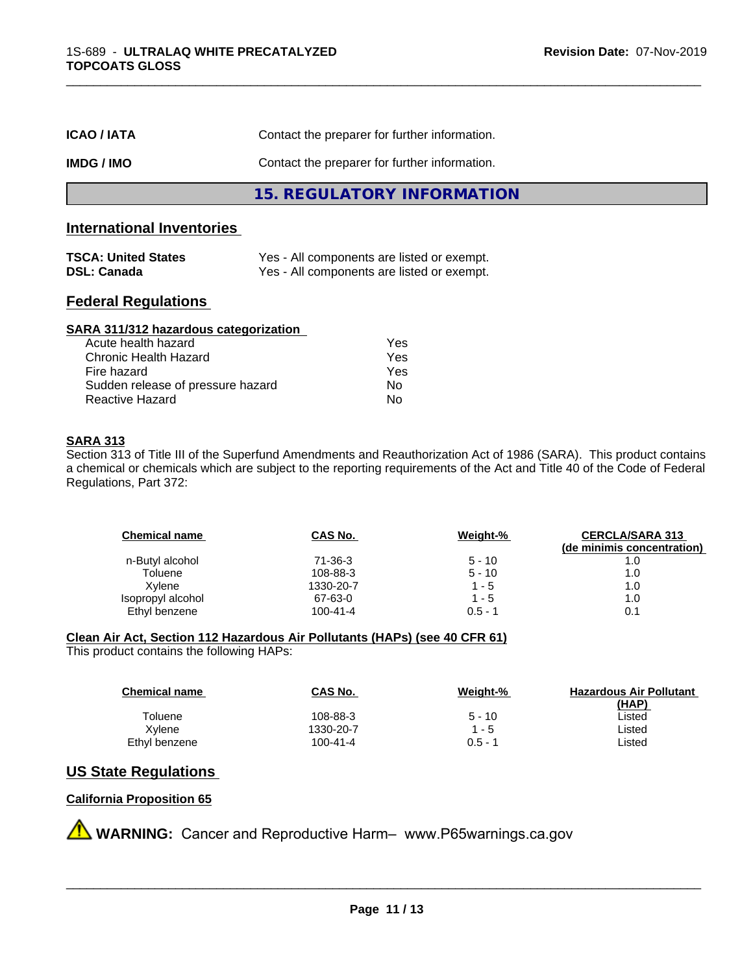| <b>ICAO/IATA</b> | Contact the preparer for further information. |
|------------------|-----------------------------------------------|
| IMDG / IMO       | Contact the preparer for further information. |
|                  | 15. REGULATORY INFORMATION                    |

## **International Inventories**

| <b>TSCA: United States</b> | Yes - All components are listed or exempt. |
|----------------------------|--------------------------------------------|
| <b>DSL: Canada</b>         | Yes - All components are listed or exempt. |

# **Federal Regulations**

| SARA 311/312 hazardous categorization |     |  |
|---------------------------------------|-----|--|
| Acute health hazard                   | Yes |  |
| Chronic Health Hazard                 | Yes |  |
| Fire hazard                           | Yes |  |
| Sudden release of pressure hazard     | No  |  |
| Reactive Hazard                       | No  |  |

#### **SARA 313**

Section 313 of Title III of the Superfund Amendments and Reauthorization Act of 1986 (SARA). This product contains a chemical or chemicals which are subject to the reporting requirements of the Act and Title 40 of the Code of Federal Regulations, Part 372:

| <b>Chemical name</b> | CAS No.        | Weight-%  | <b>CERCLA/SARA 313</b><br>(de minimis concentration) |
|----------------------|----------------|-----------|------------------------------------------------------|
| n-Butyl alcohol      | 71-36-3        | $5 - 10$  | 1.0                                                  |
| Toluene              | 108-88-3       | $5 - 10$  | 1.0                                                  |
| Xvlene               | 1330-20-7      | 1 - 5     | 1.0                                                  |
| Isopropyl alcohol    | 67-63-0        | 1 - 5     | 1.0                                                  |
| Ethyl benzene        | $100 - 41 - 4$ | $0.5 - 1$ | 0.1                                                  |

\_\_\_\_\_\_\_\_\_\_\_\_\_\_\_\_\_\_\_\_\_\_\_\_\_\_\_\_\_\_\_\_\_\_\_\_\_\_\_\_\_\_\_\_\_\_\_\_\_\_\_\_\_\_\_\_\_\_\_\_\_\_\_\_\_\_\_\_\_\_\_\_\_\_\_\_\_\_\_\_\_\_\_\_\_\_\_\_\_\_\_\_\_

#### **Clean Air Act,Section 112 Hazardous Air Pollutants (HAPs) (see 40 CFR 61)**

This product contains the following HAPs:

| <b>Chemical name</b> | CAS No.        | Weight-%  | <b>Hazardous Air Pollutant</b> |
|----------------------|----------------|-----------|--------------------------------|
|                      |                |           | (HAP)                          |
| Toluene              | 108-88-3       | $5 - 10$  | Listed                         |
| Xvlene               | 1330-20-7      | $1 - 5$   | Listed                         |
| Ethyl benzene        | $100 - 41 - 4$ | $0.5 - 1$ | ∟isted                         |

## **US State Regulations**

## **California Proposition 65**

**A WARNING:** Cancer and Reproductive Harm– www.P65warnings.ca.gov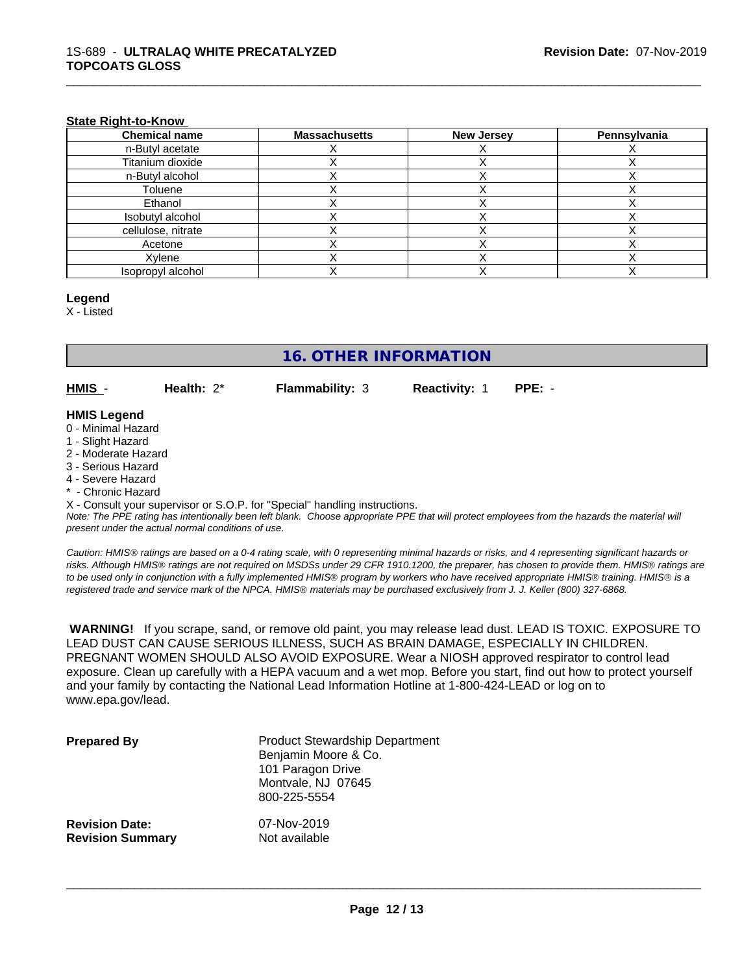#### **State Right-to-Know**

| <b>Chemical name</b> | <b>Massachusetts</b> | <b>New Jersey</b> | Pennsylvania |
|----------------------|----------------------|-------------------|--------------|
| n-Butyl acetate      |                      |                   |              |
| Titanium dioxide     |                      |                   |              |
| n-Butyl alcohol      |                      |                   |              |
| Toluene              |                      |                   |              |
| Ethanol              |                      |                   |              |
| Isobutyl alcohol     |                      |                   |              |
| cellulose, nitrate   |                      |                   |              |
| Acetone              |                      |                   |              |
| Xylene               |                      |                   |              |
| Isopropyl alcohol    |                      |                   |              |

#### **Legend**

X - Listed

# **16. OTHER INFORMATION**

**HMIS** - **Health:** 2\* **Flammability:** 3 **Reactivity:** 1 **PPE:** -

\_\_\_\_\_\_\_\_\_\_\_\_\_\_\_\_\_\_\_\_\_\_\_\_\_\_\_\_\_\_\_\_\_\_\_\_\_\_\_\_\_\_\_\_\_\_\_\_\_\_\_\_\_\_\_\_\_\_\_\_\_\_\_\_\_\_\_\_\_\_\_\_\_\_\_\_\_\_\_\_\_\_\_\_\_\_\_\_\_\_\_\_\_

#### **HMIS Legend**

- 0 Minimal Hazard
- 1 Slight Hazard
- 2 Moderate Hazard
- 3 Serious Hazard
- 4 Severe Hazard
- \* Chronic Hazard

X - Consult your supervisor or S.O.P. for "Special" handling instructions.

*Note: The PPE rating has intentionally been left blank. Choose appropriate PPE that will protect employees from the hazards the material will present under the actual normal conditions of use.*

*Caution: HMISÒ ratings are based on a 0-4 rating scale, with 0 representing minimal hazards or risks, and 4 representing significant hazards or risks. Although HMISÒ ratings are not required on MSDSs under 29 CFR 1910.1200, the preparer, has chosen to provide them. HMISÒ ratings are to be used only in conjunction with a fully implemented HMISÒ program by workers who have received appropriate HMISÒ training. HMISÒ is a registered trade and service mark of the NPCA. HMISÒ materials may be purchased exclusively from J. J. Keller (800) 327-6868.*

 **WARNING!** If you scrape, sand, or remove old paint, you may release lead dust. LEAD IS TOXIC. EXPOSURE TO LEAD DUST CAN CAUSE SERIOUS ILLNESS, SUCH AS BRAIN DAMAGE, ESPECIALLY IN CHILDREN. PREGNANT WOMEN SHOULD ALSO AVOID EXPOSURE.Wear a NIOSH approved respirator to control lead exposure. Clean up carefully with a HEPA vacuum and a wet mop. Before you start, find out how to protect yourself and your family by contacting the National Lead Information Hotline at 1-800-424-LEAD or log on to www.epa.gov/lead.

| <b>Prepared By</b>      | <b>Product Stewardship Department</b><br>Benjamin Moore & Co.<br>101 Paragon Drive<br>Montvale, NJ 07645<br>800-225-5554 |
|-------------------------|--------------------------------------------------------------------------------------------------------------------------|
| <b>Revision Date:</b>   | 07-Nov-2019                                                                                                              |
| <b>Revision Summary</b> | Not available                                                                                                            |